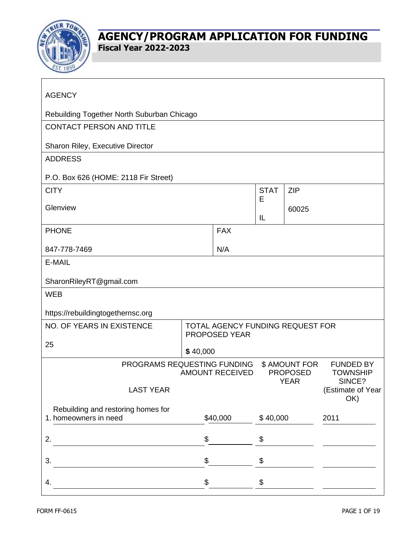

| <b>AGENCY</b>                                                                                            |          |            |          |                                               |                          |
|----------------------------------------------------------------------------------------------------------|----------|------------|----------|-----------------------------------------------|--------------------------|
| Rebuilding Together North Suburban Chicago                                                               |          |            |          |                                               |                          |
| <b>CONTACT PERSON AND TITLE</b>                                                                          |          |            |          |                                               |                          |
| Sharon Riley, Executive Director                                                                         |          |            |          |                                               |                          |
| <b>ADDRESS</b>                                                                                           |          |            |          |                                               |                          |
| P.O. Box 626 (HOME: 2118 Fir Street)                                                                     |          |            |          |                                               |                          |
| <b>CITY</b>                                                                                              |          |            |          | <b>ZIP</b>                                    |                          |
| Glenview                                                                                                 |          |            | E        | 60025                                         |                          |
|                                                                                                          |          |            | IL       |                                               |                          |
| <b>PHONE</b>                                                                                             |          | <b>FAX</b> |          |                                               |                          |
| 847-778-7469                                                                                             |          | N/A        |          |                                               |                          |
| E-MAIL                                                                                                   |          |            |          |                                               |                          |
| SharonRileyRT@gmail.com                                                                                  |          |            |          |                                               |                          |
| <b>WEB</b>                                                                                               |          |            |          |                                               |                          |
| https://rebuildingtogethernsc.org                                                                        |          |            |          |                                               |                          |
| NO. OF YEARS IN EXISTENCE<br>TOTAL AGENCY FUNDING REQUEST FOR                                            |          |            |          |                                               |                          |
| PROPOSED YEAR<br>25                                                                                      |          |            |          |                                               |                          |
|                                                                                                          | \$40,000 |            |          |                                               |                          |
| PROGRAMS REQUESTING FUNDING<br>\$ AMOUNT FOR<br><b>AMOUNT RECEIVED</b><br><b>PROPOSED</b><br><b>YEAR</b> |          |            |          | <b>FUNDED BY</b><br><b>TOWNSHIP</b><br>SINCE? |                          |
| <b>LAST YEAR</b>                                                                                         |          |            |          |                                               | (Estimate of Year<br>OK) |
| Rebuilding and restoring homes for<br>1. homeowners in need                                              |          | \$40,000   | \$40,000 |                                               | 2011                     |
|                                                                                                          |          |            |          |                                               |                          |
| 2.                                                                                                       | \$       |            | \$       |                                               |                          |
| 3.                                                                                                       | \$       |            | \$       |                                               |                          |
| 4.                                                                                                       | \$       |            | \$       |                                               |                          |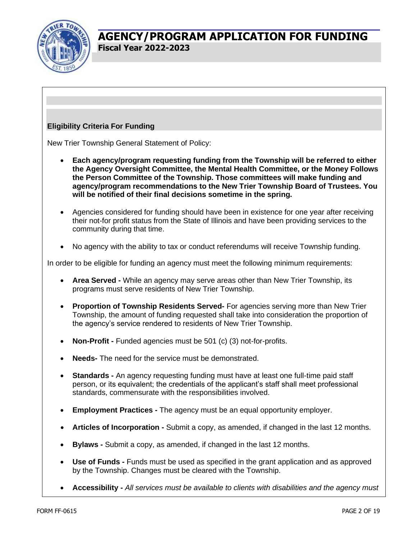

#### **Eligibility Criteria For Funding**

New Trier Township General Statement of Policy:

- **Each agency/program requesting funding from the Township will be referred to either the Agency Oversight Committee, the Mental Health Committee, or the Money Follows the Person Committee of the Township. Those committees will make funding and agency/program recommendations to the New Trier Township Board of Trustees. You will be notified of their final decisions sometime in the spring.**
- Agencies considered for funding should have been in existence for one year after receiving their not-for profit status from the State of Illinois and have been providing services to the community during that time.
- No agency with the ability to tax or conduct referendums will receive Township funding.

In order to be eligible for funding an agency must meet the following minimum requirements:

- **Area Served -** While an agency may serve areas other than New Trier Township, its programs must serve residents of New Trier Township.
- **Proportion of Township Residents Served-** For agencies serving more than New Trier Township, the amount of funding requested shall take into consideration the proportion of the agency's service rendered to residents of New Trier Township.
- **Non-Profit -** Funded agencies must be 501 (c) (3) not-for-profits.
- **Needs-** The need for the service must be demonstrated.
- **Standards -** An agency requesting funding must have at least one full-time paid staff person, or its equivalent; the credentials of the applicant's staff shall meet professional standards, commensurate with the responsibilities involved.
- **Employment Practices -** The agency must be an equal opportunity employer.
- **Articles of Incorporation -** Submit a copy, as amended, if changed in the last 12 months.
- **Bylaws -** Submit a copy, as amended, if changed in the last 12 months.
- **Use of Funds -** Funds must be used as specified in the grant application and as approved by the Township. Changes must be cleared with the Township.
- **Accessibility -** *All services must be available to clients with disabilities and the agency must*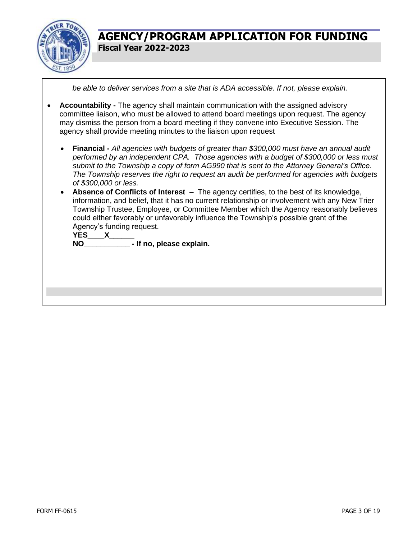

*be able to deliver services from a site that is ADA accessible. If not, please explain.*

- **Accountability -** The agency shall maintain communication with the assigned advisory committee liaison, who must be allowed to attend board meetings upon request. The agency may dismiss the person from a board meeting if they convene into Executive Session. The agency shall provide meeting minutes to the liaison upon request
	- **Financial -** *All agencies with budgets of greater than \$300,000 must have an annual audit performed by an independent CPA. Those agencies with a budget of \$300,000 or less must submit to the Township a copy of form AG990 that is sent to the Attorney General's Office. The Township reserves the right to request an audit be performed for agencies with budgets of \$300,000 or less.*
	- **Absence of Conflicts of Interest –** The agency certifies, to the best of its knowledge, information, and belief, that it has no current relationship or involvement with any New Trier Township Trustee, Employee, or Committee Member which the Agency reasonably believes could either favorably or unfavorably influence the Township's possible grant of the Agency's funding request.

**YES\_\_\_\_X\_\_\_\_\_\_**

**NO\_\_\_\_\_\_\_\_\_\_\_ - If no, please explain.**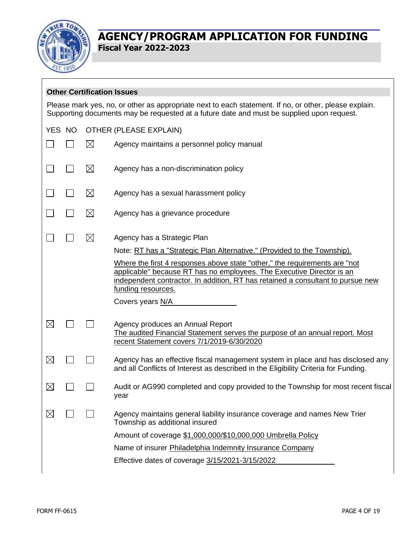

 $\Gamma$ 

## **AGENCY/PROGRAM APPLICATION FOR FUNDING Fiscal Year 2022-2023**

|             | <b>Other Certification Issues</b>                                                                                                                                                                  |             |                                                                                                                                                                                                                                                              |  |  |
|-------------|----------------------------------------------------------------------------------------------------------------------------------------------------------------------------------------------------|-------------|--------------------------------------------------------------------------------------------------------------------------------------------------------------------------------------------------------------------------------------------------------------|--|--|
|             | Please mark yes, no, or other as appropriate next to each statement. If no, or other, please explain.<br>Supporting documents may be requested at a future date and must be supplied upon request. |             |                                                                                                                                                                                                                                                              |  |  |
|             | YES NO<br>OTHER (PLEASE EXPLAIN)                                                                                                                                                                   |             |                                                                                                                                                                                                                                                              |  |  |
|             |                                                                                                                                                                                                    | $\boxtimes$ | Agency maintains a personnel policy manual                                                                                                                                                                                                                   |  |  |
|             |                                                                                                                                                                                                    | $\boxtimes$ | Agency has a non-discrimination policy                                                                                                                                                                                                                       |  |  |
|             |                                                                                                                                                                                                    | $\boxtimes$ | Agency has a sexual harassment policy                                                                                                                                                                                                                        |  |  |
|             |                                                                                                                                                                                                    | $\boxtimes$ | Agency has a grievance procedure                                                                                                                                                                                                                             |  |  |
|             |                                                                                                                                                                                                    | $\boxtimes$ | Agency has a Strategic Plan                                                                                                                                                                                                                                  |  |  |
|             |                                                                                                                                                                                                    |             | Note: RT has a "Strategic Plan Alternative." (Provided to the Township).                                                                                                                                                                                     |  |  |
|             |                                                                                                                                                                                                    |             | Where the first 4 responses above state "other," the requirements are "not<br>applicable" because RT has no employees. The Executive Director is an<br>independent contractor. In addition, RT has retained a consultant to pursue new<br>funding resources. |  |  |
|             |                                                                                                                                                                                                    |             | Covers years N/A                                                                                                                                                                                                                                             |  |  |
| $\boxtimes$ |                                                                                                                                                                                                    |             | Agency produces an Annual Report<br>The audited Financial Statement serves the purpose of an annual report. Most<br>recent Statement covers 7/1/2019-6/30/2020                                                                                               |  |  |
| $\boxtimes$ |                                                                                                                                                                                                    |             | Agency has an effective fiscal management system in place and has disclosed any<br>and all Conflicts of Interest as described in the Eligibility Criteria for Funding.                                                                                       |  |  |
| $\boxtimes$ |                                                                                                                                                                                                    |             | Audit or AG990 completed and copy provided to the Township for most recent fiscal<br>year                                                                                                                                                                    |  |  |
| $\boxtimes$ |                                                                                                                                                                                                    |             | Agency maintains general liability insurance coverage and names New Trier<br>Township as additional insured                                                                                                                                                  |  |  |
|             |                                                                                                                                                                                                    |             | Amount of coverage \$1,000,000/\$10,000,000 Umbrella Policy                                                                                                                                                                                                  |  |  |
|             |                                                                                                                                                                                                    |             | Name of insurer Philadelphia Indemnity Insurance Company                                                                                                                                                                                                     |  |  |
|             |                                                                                                                                                                                                    |             | Effective dates of coverage 3/15/2021-3/15/2022                                                                                                                                                                                                              |  |  |
|             |                                                                                                                                                                                                    |             |                                                                                                                                                                                                                                                              |  |  |

┑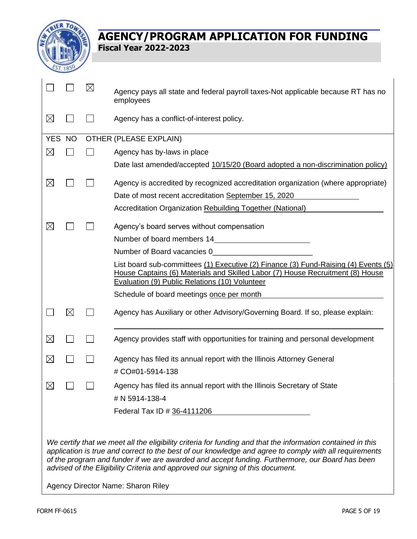

|             |             | $\boxtimes$ | Agency pays all state and federal payroll taxes-Not applicable because RT has no<br>employees                                                                                                                           |
|-------------|-------------|-------------|-------------------------------------------------------------------------------------------------------------------------------------------------------------------------------------------------------------------------|
| $\boxtimes$ |             |             | Agency has a conflict-of-interest policy.                                                                                                                                                                               |
| YES NO      |             |             | OTHER (PLEASE EXPLAIN)                                                                                                                                                                                                  |
| $\boxtimes$ |             |             | Agency has by-laws in place                                                                                                                                                                                             |
|             |             |             | Date last amended/accepted 10/15/20 (Board adopted a non-discrimination policy)                                                                                                                                         |
| $\boxtimes$ |             |             | Agency is accredited by recognized accreditation organization (where appropriate)                                                                                                                                       |
|             |             |             | Date of most recent accreditation September 15, 2020                                                                                                                                                                    |
|             |             |             | Accreditation Organization Rebuilding Together (National)                                                                                                                                                               |
| $\boxtimes$ |             |             | Agency's board serves without compensation                                                                                                                                                                              |
|             |             |             | Number of board members 14                                                                                                                                                                                              |
|             |             |             | Number of Board vacancies 0                                                                                                                                                                                             |
|             |             |             | List board sub-committees (1) Executive (2) Finance (3) Fund-Raising (4) Events (5)<br>House Captains (6) Materials and Skilled Labor (7) House Recruitment (8) House<br>Evaluation (9) Public Relations (10) Volunteer |
|             |             |             | Schedule of board meetings once per month                                                                                                                                                                               |
|             | $\boxtimes$ |             | Agency has Auxiliary or other Advisory/Governing Board. If so, please explain:                                                                                                                                          |
| $\boxtimes$ |             |             | Agency provides staff with opportunities for training and personal development                                                                                                                                          |
| $\boxtimes$ |             |             | Agency has filed its annual report with the Illinois Attorney General                                                                                                                                                   |
|             |             |             | # CO#01-5914-138                                                                                                                                                                                                        |
| $\boxtimes$ |             |             | Agency has filed its annual report with the Illinois Secretary of State                                                                                                                                                 |
|             |             |             | # N 5914-138-4                                                                                                                                                                                                          |
|             |             |             | Federal Tax ID # 36-4111206                                                                                                                                                                                             |
|             |             |             |                                                                                                                                                                                                                         |

*We certify that we meet all the eligibility criteria for funding and that the information contained in this application is true and correct to the best of our knowledge and agree to comply with all requirements of the program and funder if we are awarded and accept funding. Furthermore, our Board has been advised of the Eligibility Criteria and approved our signing of this document.*

Agency Director Name: Sharon Riley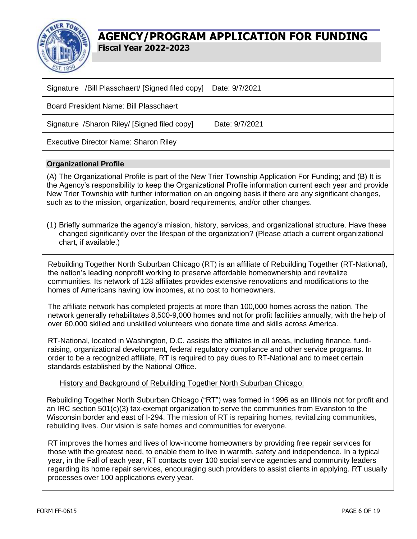

| Signature /Bill Plasschaert/ [Signed filed copy]<br>Date: 9/7/2021                                                                                                                                                                                                                                                                                                                                                                                                       |  |  |  |  |
|--------------------------------------------------------------------------------------------------------------------------------------------------------------------------------------------------------------------------------------------------------------------------------------------------------------------------------------------------------------------------------------------------------------------------------------------------------------------------|--|--|--|--|
| <b>Board President Name: Bill Plasschaert</b>                                                                                                                                                                                                                                                                                                                                                                                                                            |  |  |  |  |
| Date: 9/7/2021<br>Signature / Sharon Riley/ [Signed filed copy]                                                                                                                                                                                                                                                                                                                                                                                                          |  |  |  |  |
| <b>Executive Director Name: Sharon Riley</b>                                                                                                                                                                                                                                                                                                                                                                                                                             |  |  |  |  |
| <b>Organizational Profile</b>                                                                                                                                                                                                                                                                                                                                                                                                                                            |  |  |  |  |
| (A) The Organizational Profile is part of the New Trier Township Application For Funding; and (B) It is<br>the Agency's responsibility to keep the Organizational Profile information current each year and provide<br>New Trier Township with further information on an ongoing basis if there are any significant changes,<br>such as to the mission, organization, board requirements, and/or other changes.                                                          |  |  |  |  |
| (1) Briefly summarize the agency's mission, history, services, and organizational structure. Have these<br>changed significantly over the lifespan of the organization? (Please attach a current organizational<br>chart, if available.)                                                                                                                                                                                                                                 |  |  |  |  |
| Rebuilding Together North Suburban Chicago (RT) is an affiliate of Rebuilding Together (RT-National),<br>the nation's leading nonprofit working to preserve affordable homeownership and revitalize<br>communities. Its network of 128 affiliates provides extensive renovations and modifications to the<br>homes of Americans having low incomes, at no cost to homeowners.                                                                                            |  |  |  |  |
| The affiliate network has completed projects at more than 100,000 homes across the nation. The<br>network generally rehabilitates 8,500-9,000 homes and not for profit facilities annually, with the help of<br>over 60,000 skilled and unskilled volunteers who donate time and skills across America.                                                                                                                                                                  |  |  |  |  |
| RT-National, located in Washington, D.C. assists the affiliates in all areas, including finance, fund-<br>raising, organizational development, federal regulatory compliance and other service programs. In<br>order to be a recognized affiliate, RT is required to pay dues to RT-National and to meet certain<br>standards established by the National Office.                                                                                                        |  |  |  |  |
| History and Background of Rebuilding Together North Suburban Chicago:                                                                                                                                                                                                                                                                                                                                                                                                    |  |  |  |  |
| Rebuilding Together North Suburban Chicago ("RT") was formed in 1996 as an Illinois not for profit and<br>an IRC section 501(c)(3) tax-exempt organization to serve the communities from Evanston to the<br>Wisconsin border and east of I-294. The mission of RT is repairing homes, revitalizing communities,<br>rebuilding lives. Our vision is safe homes and communities for everyone.                                                                              |  |  |  |  |
| RT improves the homes and lives of low-income homeowners by providing free repair services for<br>those with the greatest need, to enable them to live in warmth, safety and independence. In a typical<br>year, in the Fall of each year, RT contacts over 100 social service agencies and community leaders<br>regarding its home repair services, encouraging such providers to assist clients in applying. RT usually<br>processes over 100 applications every year. |  |  |  |  |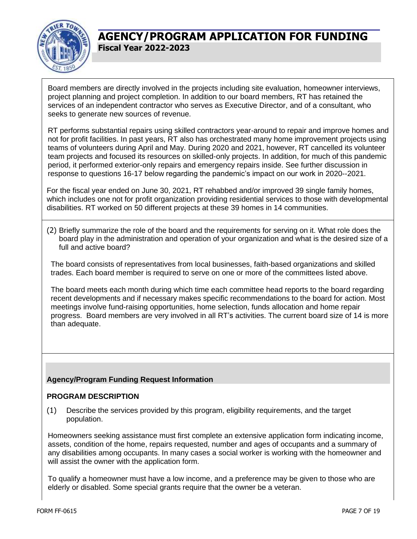

Board members are directly involved in the projects including site evaluation, homeowner interviews, project planning and project completion. In addition to our board members, RT has retained the services of an independent contractor who serves as Executive Director, and of a consultant, who seeks to generate new sources of revenue.

RT performs substantial repairs using skilled contractors year-around to repair and improve homes and not for profit facilities. In past years, RT also has orchestrated many home improvement projects using teams of volunteers during April and May. During 2020 and 2021, however, RT cancelled its volunteer team projects and focused its resources on skilled-only projects. In addition, for much of this pandemic period, it performed exterior-only repairs and emergency repairs inside. See further discussion in response to questions 16-17 below regarding the pandemic's impact on our work in 2020--2021.

For the fiscal year ended on June 30, 2021, RT rehabbed and/or improved 39 single family homes, which includes one not for profit organization providing residential services to those with developmental disabilities. RT worked on 50 different projects at these 39 homes in 14 communities.

(2) Briefly summarize the role of the board and the requirements for serving on it. What role does the board play in the administration and operation of your organization and what is the desired size of a full and active board?

The board consists of representatives from local businesses, faith-based organizations and skilled trades. Each board member is required to serve on one or more of the committees listed above.

The board meets each month during which time each committee head reports to the board regarding recent developments and if necessary makes specific recommendations to the board for action. Most meetings involve fund-raising opportunities, home selection, funds allocation and home repair progress. Board members are very involved in all RT's activities. The current board size of 14 is more than adequate.

#### **Agency/Program Funding Request Information**

#### **PROGRAM DESCRIPTION**

(1) Describe the services provided by this program, eligibility requirements, and the target population.

Homeowners seeking assistance must first complete an extensive application form indicating income, assets, condition of the home, repairs requested, number and ages of occupants and a summary of any disabilities among occupants. In many cases a social worker is working with the homeowner and will assist the owner with the application form.

To qualify a homeowner must have a low income, and a preference may be given to those who are elderly or disabled. Some special grants require that the owner be a veteran.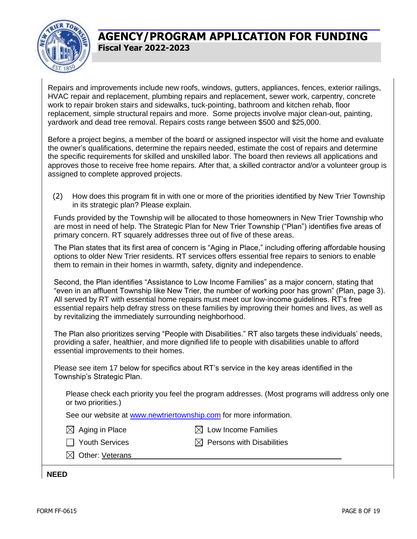

Repairs and improvements include new roofs, windows, gutters, appliances, fences, exterior railings, HVAC repair and replacement, plumbing repairs and replacement, sewer work, carpentry, concrete work to repair broken stairs and sidewalks, tuck-pointing, bathroom and kitchen rehab, floor replacement, simple structural repairs and more. Some projects involve major clean-out, painting, yardwork and dead tree removal. Repairs costs range between \$500 and \$25,000.

Before a project begins, a member of the board or assigned inspector will visit the home and evaluate the owner's qualifications, determine the repairs needed, estimate the cost of repairs and determine the specific requirements for skilled and unskilled labor. The board then reviews all applications and approves those to receive free home repairs. After that, a skilled contractor and/or a volunteer group is assigned to complete approved projects.

(2) How does this program fit in with one or more of the priorities identified by New Trier Township in its strategic plan? Please explain.

Funds provided by the Township will be allocated to those homeowners in New Trier Township who are most in need of help. The Strategic Plan for New Trier Township ("Plan") identifies five areas of primary concern. RT squarely addresses three out of five of these areas.

The Plan states that its first area of concern is "Aging in Place," including offering affordable housing options to older New Trier residents. RT services offers essential free repairs to seniors to enable them to remain in their homes in warmth, safety, dignity and independence.

Second, the Plan identifies "Assistance to Low Income Families" as a major concern, stating that "even in an affluent Township like New Trier, the number of working poor has grown" (Plan, page 3). All served by RT with essential home repairs must meet our low-income guidelines. RT's free essential repairs help defray stress on these families by improving their homes and lives, as well as by revitalizing the immediately surrounding neighborhood.

The Plan also prioritizes serving "People with Disabilities." RT also targets these individuals' needs, providing a safer, healthier, and more dignified life to people with disabilities unable to afford essential improvements to their homes.

Please see item 17 below for specifics about RT's service in the key areas identified in the Township's Strategic Plan.

Please check each priority you feel the program addresses. (Most programs will address only one or two priorities.)

See our website at [www.newtriertownship.com](http://www.newtriertownship.com/) for more information.

- 
- $\boxtimes$  Aging in Place  $\boxtimes$  Low Income Families

- $\Box$  Youth Services  $\boxtimes$  Persons with Disabilities
- $\boxtimes$  Other: Veterans

**NEED**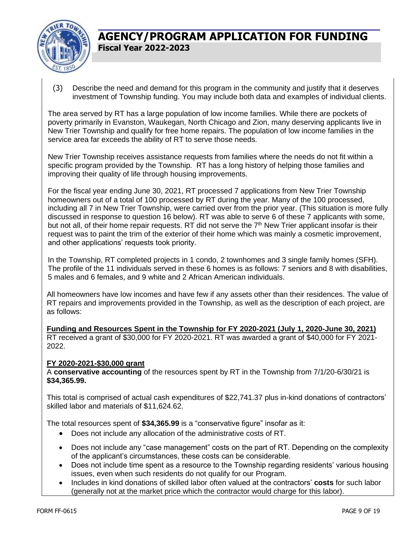

(3) Describe the need and demand for this program in the community and justify that it deserves investment of Township funding. You may include both data and examples of individual clients.

The area served by RT has a large population of low income families. While there are pockets of poverty primarily in Evanston, Waukegan, North Chicago and Zion, many deserving applicants live in New Trier Township and qualify for free home repairs. The population of low income families in the service area far exceeds the ability of RT to serve those needs.

New Trier Township receives assistance requests from families where the needs do not fit within a specific program provided by the Township. RT has a long history of helping those families and improving their quality of life through housing improvements.

For the fiscal year ending June 30, 2021, RT processed 7 applications from New Trier Township homeowners out of a total of 100 processed by RT during the year. Many of the 100 processed, including all 7 in New Trier Township, were carried over from the prior year. (This situation is more fully discussed in response to question 16 below). RT was able to serve 6 of these 7 applicants with some, but not all, of their home repair requests. RT did not serve the  $7<sup>th</sup>$  New Trier applicant insofar is their request was to paint the trim of the exterior of their home which was mainly a cosmetic improvement, and other applications' requests took priority.

In the Township, RT completed projects in 1 condo, 2 townhomes and 3 single family homes (SFH). The profile of the 11 individuals served in these 6 homes is as follows: 7 seniors and 8 with disabilities, 5 males and 6 females, and 9 white and 2 African American individuals.

All homeowners have low incomes and have few if any assets other than their residences. The value of RT repairs and improvements provided in the Township, as well as the description of each project, are as follows:

**Funding and Resources Spent in the Township for FY 2020-2021 (July 1, 2020-June 30, 2021)** RT received a grant of \$30,000 for FY 2020-2021. RT was awarded a grant of \$40,000 for FY 2021- 2022.

#### **FY 2020-2021-\$30,000 grant**

A **conservative accounting** of the resources spent by RT in the Township from 7/1/20-6/30/21 is **\$34,365.99.**

This total is comprised of actual cash expenditures of \$22,741.37 plus in-kind donations of contractors' skilled labor and materials of \$11,624.62.

The total resources spent of **\$34,365.99** is a "conservative figure" insofar as it:

- Does not include any allocation of the administrative costs of RT.
- Does not include any "case management" costs on the part of RT. Depending on the complexity of the applicant's circumstances, these costs can be considerable.
- Does not include time spent as a resource to the Township regarding residents' various housing issues, even when such residents do not qualify for our Program.
- Includes in kind donations of skilled labor often valued at the contractors' **costs** for such labor (generally not at the market price which the contractor would charge for this labor).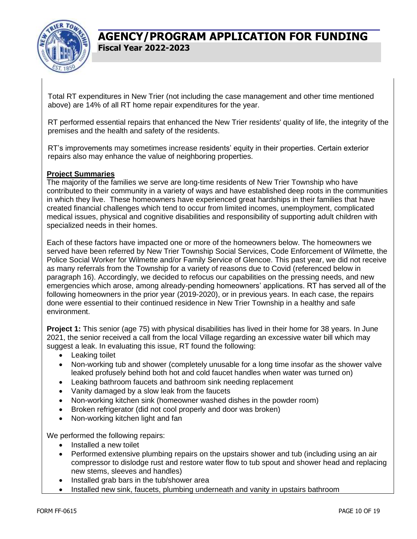

Total RT expenditures in New Trier (not including the case management and other time mentioned above) are 14% of all RT home repair expenditures for the year.

RT performed essential repairs that enhanced the New Trier residents' quality of life, the integrity of the premises and the health and safety of the residents.

RT's improvements may sometimes increase residents' equity in their properties. Certain exterior repairs also may enhance the value of neighboring properties.

#### **Project Summaries**

The majority of the families we serve are long-time residents of New Trier Township who have contributed to their community in a variety of ways and have established deep roots in the communities in which they live. These homeowners have experienced great hardships in their families that have created financial challenges which tend to occur from limited incomes, unemployment, complicated medical issues, physical and cognitive disabilities and responsibility of supporting adult children with specialized needs in their homes.

Each of these factors have impacted one or more of the homeowners below. The homeowners we served have been referred by New Trier Township Social Services, Code Enforcement of Wilmette, the Police Social Worker for Wilmette and/or Family Service of Glencoe. This past year, we did not receive as many referrals from the Township for a variety of reasons due to Covid (referenced below in paragraph 16). Accordingly, we decided to refocus our capabilities on the pressing needs, and new emergencies which arose, among already-pending homeowners' applications. RT has served all of the following homeowners in the prior year (2019-2020), or in previous years. In each case, the repairs done were essential to their continued residence in New Trier Township in a healthy and safe environment.

**Project 1:** This senior (age 75) with physical disabilities has lived in their home for 38 years. In June 2021, the senior received a call from the local Village regarding an excessive water bill which may suggest a leak. In evaluating this issue, RT found the following:

- Leaking toilet
- Non-working tub and shower (completely unusable for a long time insofar as the shower valve leaked profusely behind both hot and cold faucet handles when water was turned on)
- Leaking bathroom faucets and bathroom sink needing replacement
- Vanity damaged by a slow leak from the faucets
- Non-working kitchen sink (homeowner washed dishes in the powder room)
- Broken refrigerator (did not cool properly and door was broken)
- Non-working kitchen light and fan

We performed the following repairs:

- Installed a new toilet
- Performed extensive plumbing repairs on the upstairs shower and tub (including using an air compressor to dislodge rust and restore water flow to tub spout and shower head and replacing new stems, sleeves and handles)
- Installed grab bars in the tub/shower area
- Installed new sink, faucets, plumbing underneath and vanity in upstairs bathroom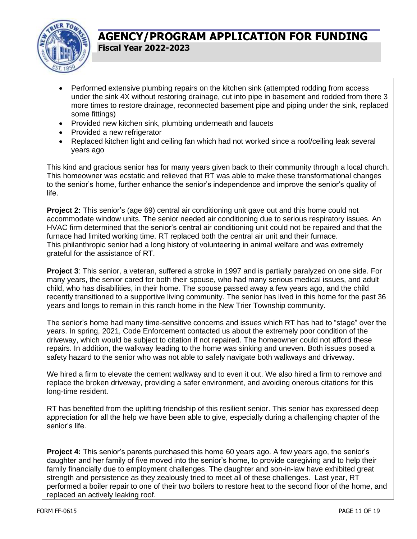

- Performed extensive plumbing repairs on the kitchen sink (attempted rodding from access under the sink 4X without restoring drainage, cut into pipe in basement and rodded from there 3 more times to restore drainage, reconnected basement pipe and piping under the sink, replaced some fittings)
- Provided new kitchen sink, plumbing underneath and faucets
- Provided a new refrigerator
- Replaced kitchen light and ceiling fan which had not worked since a roof/ceiling leak several years ago

This kind and gracious senior has for many years given back to their community through a local church. This homeowner was ecstatic and relieved that RT was able to make these transformational changes to the senior's home, further enhance the senior's independence and improve the senior's quality of life.

**Project 2:** This senior's (age 69) central air conditioning unit gave out and this home could not accommodate window units. The senior needed air conditioning due to serious respiratory issues. An HVAC firm determined that the senior's central air conditioning unit could not be repaired and that the furnace had limited working time. RT replaced both the central air unit and their furnace. This philanthropic senior had a long history of volunteering in animal welfare and was extremely grateful for the assistance of RT.

**Project 3**: This senior, a veteran, suffered a stroke in 1997 and is partially paralyzed on one side. For many years, the senior cared for both their spouse, who had many serious medical issues, and adult child, who has disabilities, in their home. The spouse passed away a few years ago, and the child recently transitioned to a supportive living community. The senior has lived in this home for the past 36 years and longs to remain in this ranch home in the New Trier Township community.

The senior's home had many time-sensitive concerns and issues which RT has had to "stage" over the years. In spring, 2021, Code Enforcement contacted us about the extremely poor condition of the driveway, which would be subject to citation if not repaired. The homeowner could not afford these repairs. In addition, the walkway leading to the home was sinking and uneven. Both issues posed a safety hazard to the senior who was not able to safely navigate both walkways and driveway.

We hired a firm to elevate the cement walkway and to even it out. We also hired a firm to remove and replace the broken driveway, providing a safer environment, and avoiding onerous citations for this long-time resident.

RT has benefited from the uplifting friendship of this resilient senior. This senior has expressed deep appreciation for all the help we have been able to give, especially during a challenging chapter of the senior's life.

**Project 4:** This senior's parents purchased this home 60 years ago. A few years ago, the senior's daughter and her family of five moved into the senior's home, to provide caregiving and to help their family financially due to employment challenges. The daughter and son-in-law have exhibited great strength and persistence as they zealously tried to meet all of these challenges. Last year, RT performed a boiler repair to one of their two boilers to restore heat to the second floor of the home, and replaced an actively leaking roof.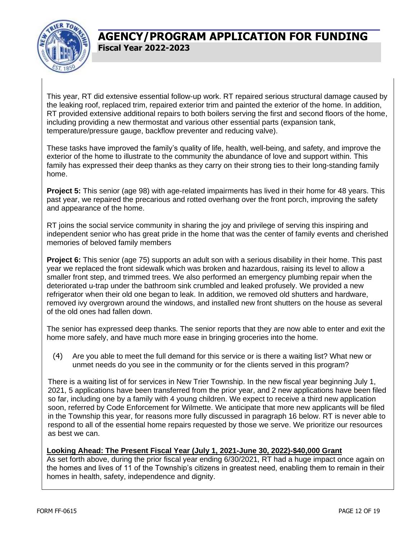

This year, RT did extensive essential follow-up work. RT repaired serious structural damage caused by the leaking roof, replaced trim, repaired exterior trim and painted the exterior of the home. In addition, RT provided extensive additional repairs to both boilers serving the first and second floors of the home, including providing a new thermostat and various other essential parts (expansion tank, temperature/pressure gauge, backflow preventer and reducing valve).

These tasks have improved the family's quality of life, health, well-being, and safety, and improve the exterior of the home to illustrate to the community the abundance of love and support within. This family has expressed their deep thanks as they carry on their strong ties to their long-standing family home.

**Project 5:** This senior (age 98) with age-related impairments has lived in their home for 48 years. This past year, we repaired the precarious and rotted overhang over the front porch, improving the safety and appearance of the home.

RT joins the social service community in sharing the joy and privilege of serving this inspiring and independent senior who has great pride in the home that was the center of family events and cherished memories of beloved family members

**Project 6:** This senior (age 75) supports an adult son with a serious disability in their home. This past year we replaced the front sidewalk which was broken and hazardous, raising its level to allow a smaller front step, and trimmed trees. We also performed an emergency plumbing repair when the deteriorated u-trap under the bathroom sink crumbled and leaked profusely. We provided a new refrigerator when their old one began to leak. In addition, we removed old shutters and hardware, removed ivy overgrown around the windows, and installed new front shutters on the house as several of the old ones had fallen down.

The senior has expressed deep thanks. The senior reports that they are now able to enter and exit the home more safely, and have much more ease in bringing groceries into the home.

(4) Are you able to meet the full demand for this service or is there a waiting list? What new or unmet needs do you see in the community or for the clients served in this program?

There is a waiting list of for services in New Trier Township. In the new fiscal year beginning July 1, 2021, 5 applications have been transferred from the prior year, and 2 new applications have been filed so far, including one by a family with 4 young children. We expect to receive a third new application soon, referred by Code Enforcement for Wilmette. We anticipate that more new applicants will be filed in the Township this year, for reasons more fully discussed in paragraph 16 below. RT is never able to respond to all of the essential home repairs requested by those we serve. We prioritize our resources as best we can.

#### **Looking Ahead: The Present Fiscal Year (July 1, 2021-June 30, 2022)-\$40,000 Grant**

As set forth above, during the prior fiscal year ending 6/30/2021, RT had a huge impact once again on the homes and lives of 11 of the Township's citizens in greatest need, enabling them to remain in their homes in health, safety, independence and dignity.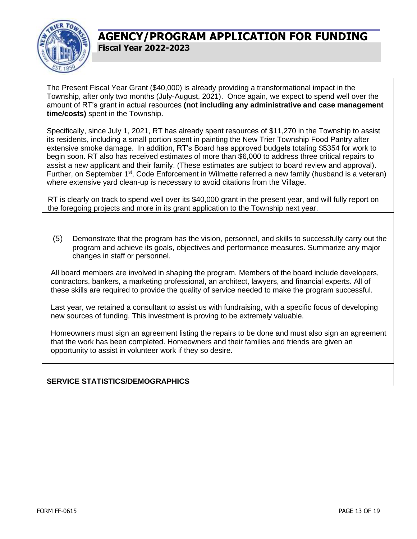

The Present Fiscal Year Grant (\$40,000) is already providing a transformational impact in the Township, after only two months (July-August, 2021). Once again, we expect to spend well over the amount of RT's grant in actual resources **(not including any administrative and case management time/costs)** spent in the Township.

Specifically, since July 1, 2021, RT has already spent resources of \$11,270 in the Township to assist its residents, including a small portion spent in painting the New Trier Township Food Pantry after extensive smoke damage. In addition, RT's Board has approved budgets totaling \$5354 for work to begin soon. RT also has received estimates of more than \$6,000 to address three critical repairs to assist a new applicant and their family. (These estimates are subject to board review and approval). Further, on September 1<sup>st</sup>, Code Enforcement in Wilmette referred a new family (husband is a veteran) where extensive yard clean-up is necessary to avoid citations from the Village.

RT is clearly on track to spend well over its \$40,000 grant in the present year, and will fully report on the foregoing projects and more in its grant application to the Township next year.

(5) Demonstrate that the program has the vision, personnel, and skills to successfully carry out the program and achieve its goals, objectives and performance measures. Summarize any major changes in staff or personnel.

All board members are involved in shaping the program. Members of the board include developers, contractors, bankers, a marketing professional, an architect, lawyers, and financial experts. All of these skills are required to provide the quality of service needed to make the program successful.

Last year, we retained a consultant to assist us with fundraising, with a specific focus of developing new sources of funding. This investment is proving to be extremely valuable.

Homeowners must sign an agreement listing the repairs to be done and must also sign an agreement that the work has been completed. Homeowners and their families and friends are given an opportunity to assist in volunteer work if they so desire.

#### **SERVICE STATISTICS/DEMOGRAPHICS**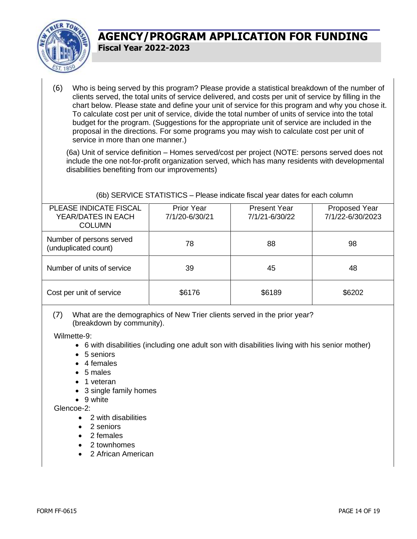

(6) Who is being served by this program? Please provide a statistical breakdown of the number of clients served, the total units of service delivered, and costs per unit of service by filling in the chart below. Please state and define your unit of service for this program and why you chose it. To calculate cost per unit of service, divide the total number of units of service into the total budget for the program. (Suggestions for the appropriate unit of service are included in the proposal in the directions. For some programs you may wish to calculate cost per unit of service in more than one manner.)

(6a) Unit of service definition – Homes served/cost per project (NOTE: persons served does not include the one not-for-profit organization served, which has many residents with developmental disabilities benefiting from our improvements)

(6b) SERVICE STATISTICS – Please indicate fiscal year dates for each column

| PLEASE INDICATE FISCAL<br>YEAR/DATES IN EACH<br><b>COLUMN</b> | <b>Prior Year</b><br>7/1/20-6/30/21 | <b>Present Year</b><br>7/1/21-6/30/22 | <b>Proposed Year</b><br>7/1/22-6/30/2023 |
|---------------------------------------------------------------|-------------------------------------|---------------------------------------|------------------------------------------|
| Number of persons served<br>(unduplicated count)              | 78                                  | 88                                    | 98                                       |
| Number of units of service                                    | 39                                  | 45                                    | 48                                       |
| Cost per unit of service                                      | \$6176                              | \$6189                                | \$6202                                   |

(7) What are the demographics of New Trier clients served in the prior year? (breakdown by community).

Wilmette-9:

- 6 with disabilities (including one adult son with disabilities living with his senior mother)
- 5 seniors
- 4 females
- 5 males
- 1 veteran
- 3 single family homes
- 9 white

Glencoe-2:

- 2 with disabilities
- 2 seniors
- 2 females
- 2 townhomes
- 2 African American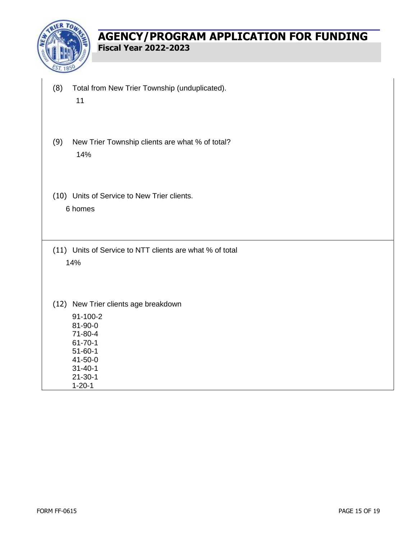

- (8) Total from New Trier Township (unduplicated). 11
- (9) New Trier Township clients are what % of total? 14%
- (10) Units of Service to New Trier clients. 6 homes
- (11) Units of Service to NTT clients are what % of total 14%
- (12) New Trier clients age breakdown
	- 91-100-2 81-90-0 71-80-4 61-70-1 51-60-1 41-50-0 31-40-1 21-30-1

1-20-1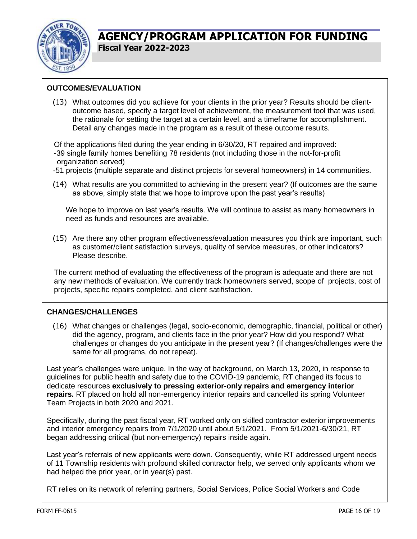

#### **OUTCOMES/EVALUATION**

(13) What outcomes did you achieve for your clients in the prior year? Results should be clientoutcome based, specify a target level of achievement, the measurement tool that was used, the rationale for setting the target at a certain level, and a timeframe for accomplishment. Detail any changes made in the program as a result of these outcome results.

Of the applications filed during the year ending in 6/30/20, RT repaired and improved: -39 single family homes benefiting 78 residents (not including those in the not-for-profit organization served)

- -51 projects (multiple separate and distinct projects for several homeowners) in 14 communities.
- (14) What results are you committed to achieving in the present year? (If outcomes are the same as above, simply state that we hope to improve upon the past year's results)

We hope to improve on last year's results. We will continue to assist as many homeowners in need as funds and resources are available.

(15) Are there any other program effectiveness/evaluation measures you think are important, such as customer/client satisfaction surveys, quality of service measures, or other indicators? Please describe.

The current method of evaluating the effectiveness of the program is adequate and there are not any new methods of evaluation. We currently track homeowners served, scope of projects, cost of projects, specific repairs completed, and client satifisfaction.

#### **CHANGES/CHALLENGES**

(16) What changes or challenges (legal, socio-economic, demographic, financial, political or other) did the agency, program, and clients face in the prior year? How did you respond? What challenges or changes do you anticipate in the present year? (If changes/challenges were the same for all programs, do not repeat).

Last year's challenges were unique. In the way of background, on March 13, 2020, in response to guidelines for public health and safety due to the COVID-19 pandemic, RT changed its focus to dedicate resources **exclusively to pressing exterior-only repairs and emergency interior repairs.** RT placed on hold all non-emergency interior repairs and cancelled its spring Volunteer Team Projects in both 2020 and 2021.

Specifically, during the past fiscal year, RT worked only on skilled contractor exterior improvements and interior emergency repairs from 7/1/2020 until about 5/1/2021. From 5/1/2021-6/30/21, RT began addressing critical (but non-emergency) repairs inside again.

Last year's referrals of new applicants were down. Consequently, while RT addressed urgent needs of 11 Township residents with profound skilled contractor help, we served only applicants whom we had helped the prior year, or in year(s) past.

RT relies on its network of referring partners, Social Services, Police Social Workers and Code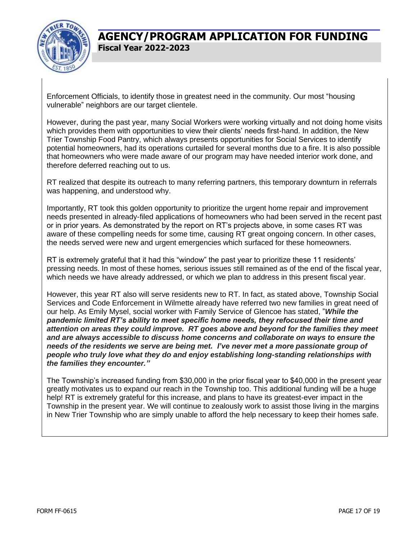

Enforcement Officials, to identify those in greatest need in the community. Our most "housing vulnerable" neighbors are our target clientele.

However, during the past year, many Social Workers were working virtually and not doing home visits which provides them with opportunities to view their clients' needs first-hand. In addition, the New Trier Township Food Pantry, which always presents opportunities for Social Services to identify potential homeowners, had its operations curtailed for several months due to a fire. It is also possible that homeowners who were made aware of our program may have needed interior work done, and therefore deferred reaching out to us.

RT realized that despite its outreach to many referring partners, this temporary downturn in referrals was happening, and understood why.

Importantly, RT took this golden opportunity to prioritize the urgent home repair and improvement needs presented in already-filed applications of homeowners who had been served in the recent past or in prior years. As demonstrated by the report on RT's projects above, in some cases RT was aware of these compelling needs for some time, causing RT great ongoing concern. In other cases, the needs served were new and urgent emergencies which surfaced for these homeowners.

RT is extremely grateful that it had this "window" the past year to prioritize these 11 residents' pressing needs. In most of these homes, serious issues still remained as of the end of the fiscal year, which needs we have already addressed, or which we plan to address in this present fiscal year.

However, this year RT also will serve residents new to RT. In fact, as stated above, Township Social Services and Code Enforcement in Wilmette already have referred two new families in great need of our help. As Emily Mysel, social worker with Family Service of Glencoe has stated, "*While the pandemic limited RT's ability to meet specific home needs, they refocused their time and attention on areas they could improve. RT goes above and beyond for the families they meet and are always accessible to discuss home concerns and collaborate on ways to ensure the needs of the residents we serve are being met. I've never met a more passionate group of people who truly love what they do and enjoy establishing long-standing relationships with the families they encounter."*

The Township's increased funding from \$30,000 in the prior fiscal year to \$40,000 in the present year greatly motivates us to expand our reach in the Township too. This additional funding will be a huge help! RT is extremely grateful for this increase, and plans to have its greatest-ever impact in the Township in the present year. We will continue to zealously work to assist those living in the margins in New Trier Township who are simply unable to afford the help necessary to keep their homes safe.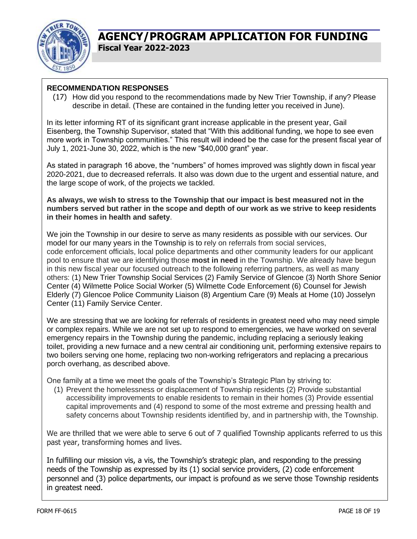

#### **RECOMMENDATION RESPONSES**

(17) How did you respond to the recommendations made by New Trier Township, if any? Please describe in detail. (These are contained in the funding letter you received in June).

In its letter informing RT of its significant grant increase applicable in the present year, Gail Eisenberg, the Township Supervisor, stated that "With this additional funding, we hope to see even more work in Township communities." This result will indeed be the case for the present fiscal year of July 1, 2021-June 30, 2022, which is the new "\$40,000 grant" year.

As stated in paragraph 16 above, the "numbers" of homes improved was slightly down in fiscal year 2020-2021, due to decreased referrals. It also was down due to the urgent and essential nature, and the large scope of work, of the projects we tackled.

**As always, we wish to stress to the Township that our impact is best measured not in the numbers served but rather in the scope and depth of our work as we strive to keep residents in their homes in health and safety**.

We join the Township in our desire to serve as many residents as possible with our services. Our model for our many years in the Township is to rely on referrals from social services, code enforcement officials, local police departments and other community leaders for our applicant pool to ensure that we are identifying those **most in need** in the Township. We already have begun in this new fiscal year our focused outreach to the following referring partners, as well as many others: (1) New Trier Township Social Services (2) Family Service of Glencoe (3) North Shore Senior Center (4) Wilmette Police Social Worker (5) Wilmette Code Enforcement (6) Counsel for Jewish Elderly (7) Glencoe Police Community Liaison (8) Argentium Care (9) Meals at Home (10) Josselyn Center (11) Family Service Center.

We are stressing that we are looking for referrals of residents in greatest need who may need simple or complex repairs. While we are not set up to respond to emergencies, we have worked on several emergency repairs in the Township during the pandemic, including replacing a seriously leaking toilet, providing a new furnace and a new central air conditioning unit, performing extensive repairs to two boilers serving one home, replacing two non-working refrigerators and replacing a precarious porch overhang, as described above.

One family at a time we meet the goals of the Township's Strategic Plan by striving to:

(1) Prevent the homelessness or displacement of Township residents (2) Provide substantial accessibility improvements to enable residents to remain in their homes (3) Provide essential capital improvements and (4) respond to some of the most extreme and pressing health and safety concerns about Township residents identified by, and in partnership with, the Township.

We are thrilled that we were able to serve 6 out of 7 qualified Township applicants referred to us this past year, transforming homes and lives.

In fulfilling our mission vis, a vis, the Township's strategic plan, and responding to the pressing needs of the Township as expressed by its (1) social service providers, (2) code enforcement personnel and (3) police departments, our impact is profound as we serve those Township residents in greatest need.